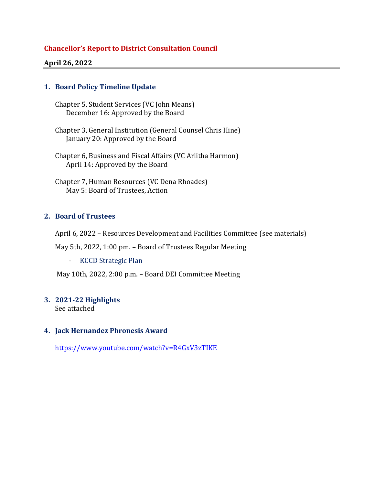### **Chancellor's Report to District Consultation Council**

#### **April 26, 2022**

### **1. Board Policy Timeline Update**

Chapter 5, Student Services (VC John Means) December 16: Approved by the Board

Chapter 3, General Institution (General Counsel Chris Hine) January 20: Approved by the Board

Chapter 6, Business and Fiscal Affairs (VC Arlitha Harmon) April 14: Approved by the Board

Chapter 7, Human Resources (VC Dena Rhoades) May 5: Board of Trustees, Action

## **2. Board of Trustees**

April 6, 2022 – Resources Development and Facilities Committee (see materials)

May 5th, 2022, 1:00 pm. – Board of Trustees Regular Meeting

- KCCD Strategic Plan

May 10th, 2022, 2:00 p.m. – Board DEI Committee Meeting

#### **3. 2021-22 Highlights**

See attached

#### **4. Jack Hernandez Phronesis Award**

<https://www.youtube.com/watch?v=R4GxV3zTIKE>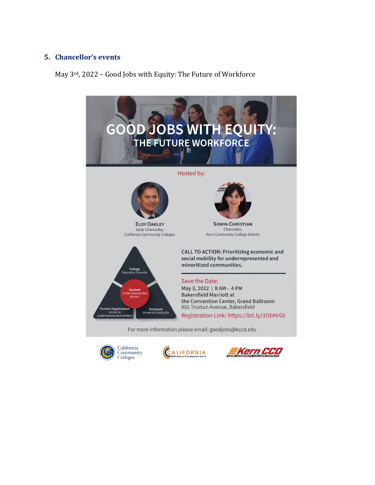### **5. Chancellor's events**

May 3rd, 2022 – Good Jobs with Equity: The Future of Workforce







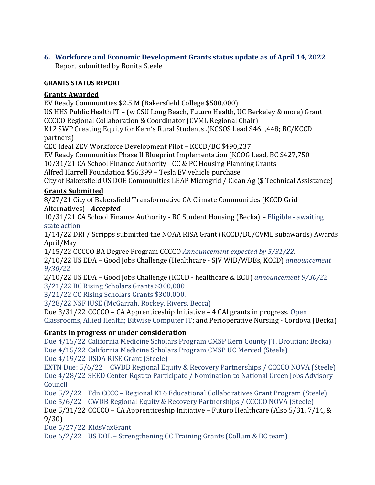## **6. Workforce and Economic Development Grants status update as of April 14, 2022** Report submitted by Bonita Steele

## **GRANTS STATUS REPORT**

## **Grants Awarded**

EV Ready Communities \$2.5 M (Bakersfield College \$500,000) US HHS Public Health IT – (w CSU Long Beach, Futuro Health, UC Berkeley & more) Grant CCCCO Regional Collaboration & Coordinator (CVML Regional Chair) K12 SWP Creating Equity for Kern's Rural Students .(KCSOS Lead \$461,448; BC/KCCD

partners)

CEC Ideal ZEV Workforce Development Pilot – KCCD/BC \$490,237

EV Ready Communities Phase II Blueprint Implementation (KCOG Lead, BC \$427,750

10/31/21 CA School Finance Authority - CC & PC Housing Planning Grants

Alfred Harrell Foundation \$56,399 – Tesla EV vehicle purchase

City of Bakersfield US DOE Communities LEAP Microgrid / Clean Ag (\$ Technical Assistance)

# **Grants Submitted**

8/27/21 City of Bakersfield Transformative CA Climate Communities (KCCD Grid Alternatives) - *Accepted*

10/31/21 CA School Finance Authority - BC Student Housing (Becka) – Eligible - awaiting state action

1/14/22 DRI / Scripps submitted the NOAA RISA Grant (KCCD/BC/CVML subawards) Awards April/May

1/15/22 CCCCO BA Degree Program CCCCO *Announcement expected by 5/31/22*.

2/10/22 US EDA – Good Jobs Challenge (Healthcare - SJV WIB/WDBs, KCCD) *announcement 9/30/22*

2/10/22 US EDA – Good Jobs Challenge (KCCD - healthcare & ECU) *announcement 9/30/22* 3/21/22 BC Rising Scholars Grants \$300,000

3/21/22 CC Rising Scholars Grants \$300,000.

3/28/22 NSF IUSE (McGarrah, Rockey, Rivers, Becca)

Due 3/31/22 CCCCO – CA Apprenticeship Initiative – 4 CAI grants in progress. Open Classrooms, Allied Health; Bitwise Computer IT; and Perioperative Nursing - Cordova (Becka)

# **Grants In progress or under consideration**

Due 4/15/22 California Medicine Scholars Program CMSP Kern County (T. Broutian; Becka) Due 4/15/22 California Medicine Scholars Program CMSP UC Merced (Steele)

Due 4/19/22 USDA RISE Grant (Steele)

EXTN Due: 5/6/22 CWDB Regional Equity & Recovery Partnerships / CCCCO NOVA (Steele) Due 4/28/22 SEED Center Rqst to Participate / Nomination to National Green Jobs Advisory Council

Due 5/2/22 Fdn CCCC – Regional K16 Educational Collaboratives Grant Program (Steele)

Due 5/6/22 CWDB Regional Equity & Recovery Partnerships / CCCCO NOVA (Steele)

Due 5/31/22 CCCCO – CA Apprenticeship Initiative – Futuro Healthcare (Also 5/31, 7/14, & 9/30)

Due 5/27/22 KidsVaxGrant

Due 6/2/22 US DOL – Strengthening CC Training Grants (Collum & BC team)